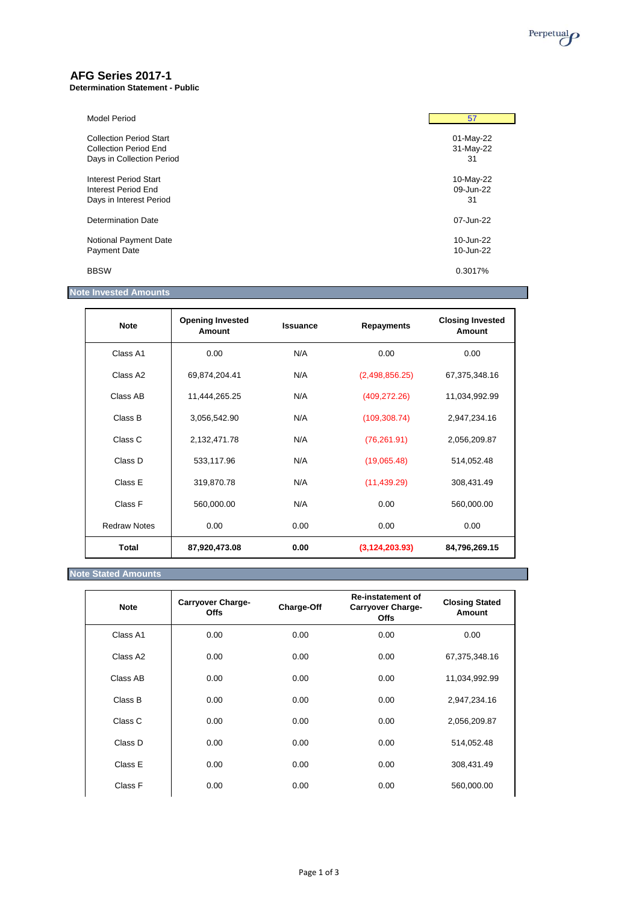

# **AFG Series 2017-1**

#### **Determination Statement - Public**

| Model Period                   | 57        |
|--------------------------------|-----------|
| <b>Collection Period Start</b> | 01-May-22 |
| <b>Collection Period End</b>   | 31-May-22 |
| Days in Collection Period      | 31        |
| <b>Interest Period Start</b>   | 10-May-22 |
| Interest Period End            | 09-Jun-22 |
| Days in Interest Period        | 31        |
| Determination Date             | 07-Jun-22 |
| Notional Payment Date          | 10-Jun-22 |
| <b>Payment Date</b>            | 10-Jun-22 |
| <b>BBSW</b>                    | 0.3017%   |

## **Note Invested Amounts**

| <b>Note</b>         | <b>Opening Invested</b><br>Amount | <b>Issuance</b> | <b>Repayments</b> | <b>Closing Invested</b><br>Amount |
|---------------------|-----------------------------------|-----------------|-------------------|-----------------------------------|
| Class A1            | 0.00                              | N/A             | 0.00              | 0.00                              |
| Class A2            | 69,874,204.41                     | N/A             | (2,498,856.25)    | 67,375,348.16                     |
| Class AB            | 11,444,265.25                     | N/A             | (409, 272.26)     | 11,034,992.99                     |
| Class B             | 3,056,542.90                      | N/A             | (109, 308.74)     | 2,947,234.16                      |
| Class C             | 2,132,471.78                      | N/A             | (76, 261.91)      | 2,056,209.87                      |
| Class D             | 533,117.96                        | N/A             | (19,065.48)       | 514,052.48                        |
| Class E             | 319,870.78                        | N/A             | (11, 439.29)      | 308,431.49                        |
| Class F             | 560,000.00                        | N/A             | 0.00              | 560,000.00                        |
| <b>Redraw Notes</b> | 0.00                              | 0.00            | 0.00              | 0.00                              |
| <b>Total</b>        | 87,920,473.08                     | 0.00            | (3, 124, 203.93)  | 84,796,269.15                     |

## **Note Stated Amounts**

| <b>Note</b> | <b>Carryover Charge-</b><br><b>Offs</b> | Charge-Off | <b>Re-instatement of</b><br><b>Carryover Charge-</b><br><b>Offs</b> | <b>Closing Stated</b><br>Amount |
|-------------|-----------------------------------------|------------|---------------------------------------------------------------------|---------------------------------|
| Class A1    | 0.00                                    | 0.00       | 0.00                                                                | 0.00                            |
| Class A2    | 0.00                                    | 0.00       | 0.00                                                                | 67,375,348.16                   |
| Class AB    | 0.00                                    | 0.00       | 0.00                                                                | 11,034,992.99                   |
| Class B     | 0.00                                    | 0.00       | 0.00                                                                | 2,947,234.16                    |
| Class C     | 0.00                                    | 0.00       | 0.00                                                                | 2,056,209.87                    |
| Class D     | 0.00                                    | 0.00       | 0.00                                                                | 514,052.48                      |
| Class E     | 0.00                                    | 0.00       | 0.00                                                                | 308,431.49                      |
| Class F     | 0.00                                    | 0.00       | 0.00                                                                | 560,000.00                      |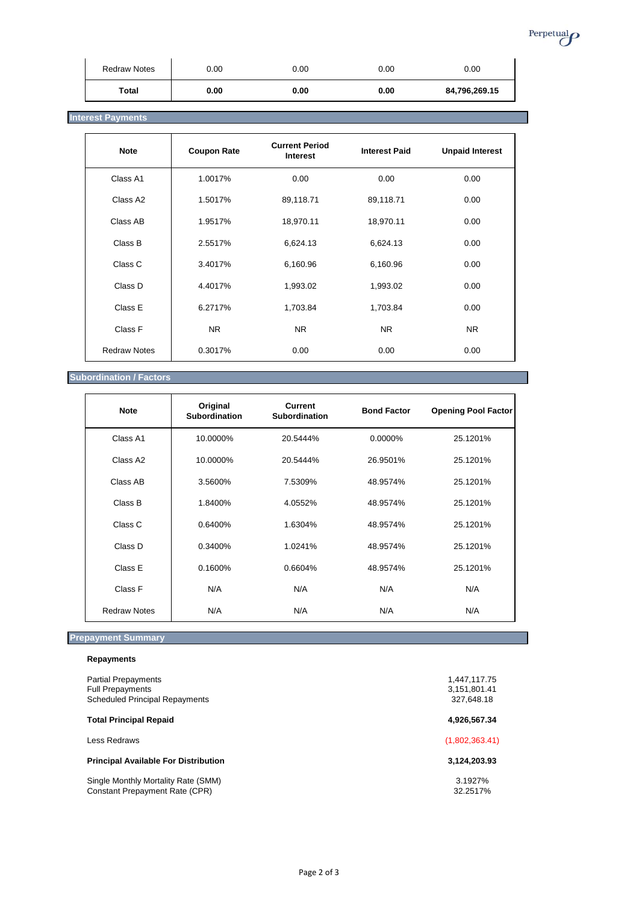

## **Interest Payments**

| <b>Note</b>         | <b>Coupon Rate</b> | <b>Current Period</b><br><b>Interest</b> | <b>Interest Paid</b> | <b>Unpaid Interest</b> |
|---------------------|--------------------|------------------------------------------|----------------------|------------------------|
| Class A1            | 1.0017%            | 0.00                                     | 0.00                 | 0.00                   |
| Class A2            | 1.5017%            | 89,118.71                                | 89,118.71            | 0.00                   |
| Class AB            | 1.9517%            | 18,970.11                                | 18,970.11            | 0.00                   |
| Class B             | 2.5517%            | 6,624.13                                 | 6,624.13             | 0.00                   |
| Class C             | 3.4017%            | 6,160.96                                 | 6,160.96             | 0.00                   |
| Class D             | 4.4017%            | 1,993.02                                 | 1,993.02             | 0.00                   |
| Class E             | 6.2717%            | 1,703.84                                 | 1,703.84             | 0.00                   |
| Class F             | NR.                | <b>NR</b>                                | NR.                  | NR.                    |
| <b>Redraw Notes</b> | 0.3017%            | 0.00                                     | 0.00                 | 0.00                   |

## **Subordination / Factors**

| <b>Note</b>         | Original<br><b>Subordination</b> | <b>Current</b><br>Subordination | <b>Bond Factor</b> | <b>Opening Pool Factor</b> |
|---------------------|----------------------------------|---------------------------------|--------------------|----------------------------|
| Class A1            | 10.0000%                         | 20.5444%                        | $0.0000\%$         | 25.1201%                   |
| Class A2            | 10.0000%                         | 20.5444%                        | 26.9501%           | 25.1201%                   |
| Class AB            | 3.5600%                          | 7.5309%                         | 48.9574%           | 25.1201%                   |
| Class B             | 1.8400%                          | 4.0552%                         | 48.9574%           | 25.1201%                   |
| Class C             | 0.6400%                          | 1.6304%                         | 48.9574%           | 25.1201%                   |
| Class D             | 0.3400%                          | 1.0241%                         | 48.9574%           | 25.1201%                   |
| Class E             | 0.1600%                          | 0.6604%                         | 48.9574%           | 25.1201%                   |
| Class F             | N/A                              | N/A                             | N/A                | N/A                        |
| <b>Redraw Notes</b> | N/A                              | N/A                             | N/A                | N/A                        |

# **Prepayment Summary**

| 1,447,117.75<br>3,151,801.41<br>327,648.18 |
|--------------------------------------------|
| 4,926,567.34                               |
| (1,802,363.41)                             |
| 3,124,203.93                               |
| 3.1927%<br>32.2517%                        |
|                                            |